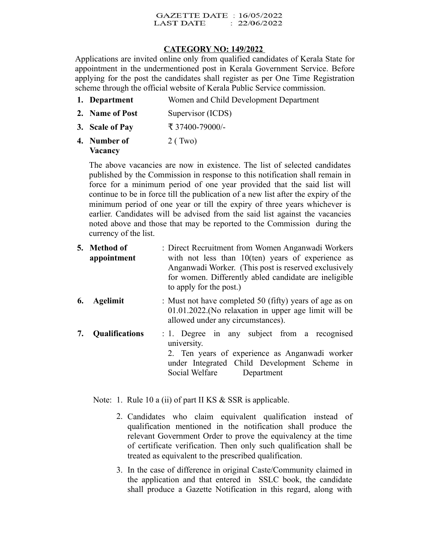## **GAZETTE DATE: 16/05/2022** LAST DATE : 22/06/2022

## **CATEGORY NO: 149/2022**

Applications are invited online only from qualified candidates of Kerala State for appointment in the undermentioned post in Kerala Government Service. Before applying for the post the candidates shall register as per One Time Registration scheme through the official website of Kerala Public Service commission.

- **1. Department** Women and Child Development Department
- **2. Name of Post** Supervisor (ICDS)
- **3. Scale of Pay** ₹ 37400-79000/-
- **4. Number of Vacancy** 2 ( Two)

The above vacancies are now in existence. The list of selected candidates published by the Commission in response to this notification shall remain in force for a minimum period of one year provided that the said list will continue to be in force till the publication of a new list after the expiry of the minimum period of one year or till the expiry of three years whichever is earlier. Candidates will be advised from the said list against the vacancies noted above and those that may be reported to the Commission during the currency of the list.

- **5. Method of appointment** : Direct Recruitment from Women Anganwadi Workers with not less than 10(ten) years of experience as Anganwadi Worker. (This post is reserved exclusively for women. Differently abled candidate are ineligible to apply for the post.)
- **6. Agelimit** : Must not have completed 50 (fifty) years of age as on 01.01.2022.(No relaxation in upper age limit will be allowed under any circumstances).
- **7. Qualifications** : 1. Degree in any subject from a recognised university. 2. Ten years of experience as Anganwadi worker under Integrated Child Development Scheme in Social Welfare Department

Note: 1. Rule 10 a (ii) of part II KS & SSR is applicable.

- 2. Candidates who claim equivalent qualification instead of qualification mentioned in the notification shall produce the relevant Government Order to prove the equivalency at the time of certificate verification. Then only such qualification shall be treated as equivalent to the prescribed qualification.
- 3. In the case of difference in original Caste/Community claimed in the application and that entered in SSLC book, the candidate shall produce a Gazette Notification in this regard, along with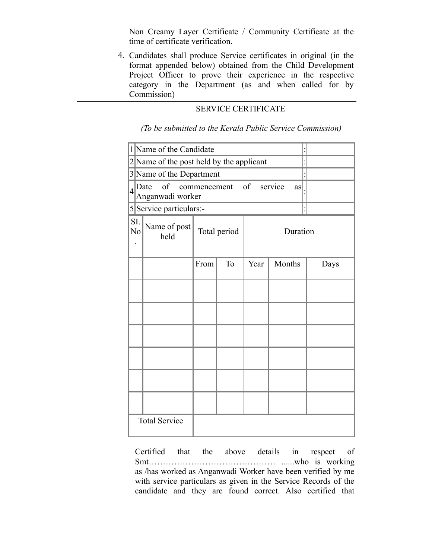Non Creamy Layer Certificate / Community Certificate at the time of certificate verification.

4. Candidates shall produce Service certificates in original (in the format appended below) obtained from the Child Development Project Officer to prove their experience in the respective category in the Department (as and when called for by Commission)

## SERVICE CERTIFICATE

*(To be submitted to the Kerala Public Service Commission)*

|                  | 1 Name of the Candidate                                            |              |           |          |        |      |
|------------------|--------------------------------------------------------------------|--------------|-----------|----------|--------|------|
|                  | 2 Name of the post held by the applicant                           |              |           |          |        |      |
|                  | 3 Name of the Department                                           |              |           |          |        |      |
| $\left 4\right $ | of<br>commencement of<br>service<br>Date<br>as<br>Anganwadi worker |              |           |          |        |      |
|                  | 5 Service particulars:-                                            |              |           |          |        |      |
| SI.<br>No        | Name of post<br>held                                               | Total period |           | Duration |        |      |
|                  |                                                                    | From         | <b>To</b> | Year     | Months | Days |
|                  |                                                                    |              |           |          |        |      |
|                  |                                                                    |              |           |          |        |      |
|                  |                                                                    |              |           |          |        |      |
|                  |                                                                    |              |           |          |        |      |
|                  |                                                                    |              |           |          |        |      |
|                  |                                                                    |              |           |          |        |      |
|                  | <b>Total Service</b>                                               |              |           |          |        |      |

Certified that the above details in respect of Smt……………………………………… ......who is working as /has worked as Anganwadi Worker have been verified by me with service particulars as given in the Service Records of the candidate and they are found correct. Also certified that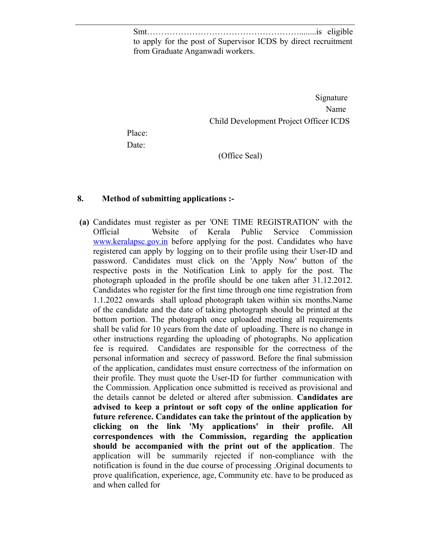Smt………………………………………………........is eligible to apply for the post of Supervisor ICDS by direct recruitment from Graduate Anganwadi workers.

 Signature Name Name Child Development Project Officer ICDS

Place: Date:

(Office Seal)

## **8. Method of submitting applications :-**

**(a)** Candidates must register as per 'ONE TIME REGISTRATION' with the Official Website of Kerala Public Service Commission [www.keralapsc.gov.in](http://www.kerealapsc.gov.in/) before applying for the post. Candidates who have registered can apply by logging on to their profile using their User-ID and password. Candidates must click on the 'Apply Now' button of the respective posts in the Notification Link to apply for the post. The photograph uploaded in the profile should be one taken after 31.12.2012. Candidates who register for the first time through one time registration from 1.1.2022 onwards shall upload photograph taken within six months.Name of the candidate and the date of taking photograph should be printed at the bottom portion. The photograph once uploaded meeting all requirements shall be valid for 10 years from the date of uploading. There is no change in other instructions regarding the uploading of photographs. No application fee is required. Candidates are responsible for the correctness of the personal information and secrecy of password. Before the final submission of the application, candidates must ensure correctness of the information on their profile. They must quote the User-ID for further communication with the Commission. Application once submitted is received as provisional and the details cannot be deleted or altered after submission. **Candidates are advised to keep a printout or soft copy of the online application for future reference. Candidates can take the printout of the application by clicking on the link 'My applications' in their profile. All correspondences with the Commission, regarding the application should be accompanied with the print out of the application**. The application will be summarily rejected if non-compliance with the notification is found in the due course of processing .Original documents to prove qualification, experience, age, Community etc. have to be produced as and when called for